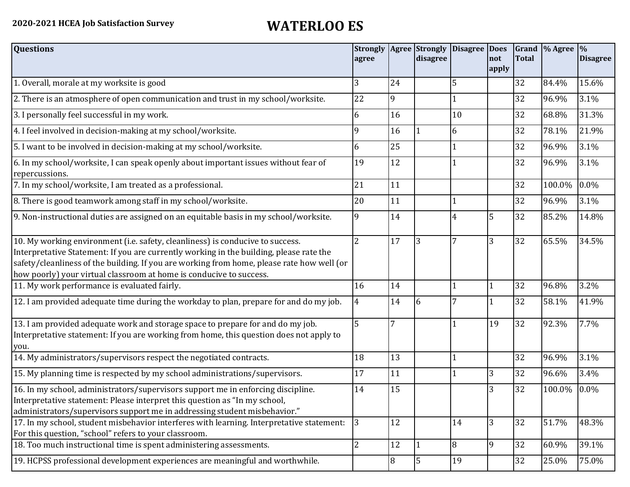| <b>Questions</b>                                                                                                                                                                                                                                                                                                                               | agree          |                | disagree       | Strongly   Agree   Strongly   Disagree   Does | not   | <b>Total</b> | Grand  % Agree  % | <b>Disagree</b> |
|------------------------------------------------------------------------------------------------------------------------------------------------------------------------------------------------------------------------------------------------------------------------------------------------------------------------------------------------|----------------|----------------|----------------|-----------------------------------------------|-------|--------------|-------------------|-----------------|
|                                                                                                                                                                                                                                                                                                                                                |                |                |                |                                               | apply |              |                   |                 |
| 1. Overall, morale at my worksite is good                                                                                                                                                                                                                                                                                                      | 3              | 24             |                | 5                                             |       | 32           | 84.4%             | 15.6%           |
| 2. There is an atmosphere of open communication and trust in my school/worksite.                                                                                                                                                                                                                                                               | 22             | 9              |                |                                               |       | 32           | 96.9%             | 3.1%            |
| 3. I personally feel successful in my work.                                                                                                                                                                                                                                                                                                    | 6              | 16             |                | 10                                            |       | 32           | 68.8%             | 31.3%           |
| 4. I feel involved in decision-making at my school/worksite.                                                                                                                                                                                                                                                                                   | 9              | 16             |                | 6                                             |       | 32           | 78.1%             | 21.9%           |
| 5. I want to be involved in decision-making at my school/worksite.                                                                                                                                                                                                                                                                             | 6              | 25             |                |                                               |       | 32           | 96.9%             | 3.1%            |
| 6. In my school/worksite, I can speak openly about important issues without fear of<br>repercussions.                                                                                                                                                                                                                                          | 19             | 12             |                |                                               |       | 32           | 96.9%             | 3.1%            |
| 7. In my school/worksite, I am treated as a professional.                                                                                                                                                                                                                                                                                      | 21             | 11             |                |                                               |       | 32           | 100.0%            | 0.0%            |
| 8. There is good teamwork among staff in my school/worksite.                                                                                                                                                                                                                                                                                   | 20             | 11             |                |                                               |       | 32           | 96.9%             | 3.1%            |
| 9. Non-instructional duties are assigned on an equitable basis in my school/worksite.                                                                                                                                                                                                                                                          | 9              | 14             |                | 4                                             | 5     | 32           | 85.2%             | 14.8%           |
| 10. My working environment (i.e. safety, cleanliness) is conducive to success.<br>Interpretative Statement: If you are currently working in the building, please rate the<br>safety/cleanliness of the building. If you are working from home, please rate how well (or<br>how poorly) your virtual classroom at home is conducive to success. | $\overline{2}$ | 17             | 3              | 7                                             | 3     | 32           | 65.5%             | 34.5%           |
| 11. My work performance is evaluated fairly.                                                                                                                                                                                                                                                                                                   | 16             | 14             |                |                                               |       | 32           | 96.8%             | 3.2%            |
| 12. I am provided adequate time during the workday to plan, prepare for and do my job.                                                                                                                                                                                                                                                         | $\overline{4}$ | 14             | 6              | 7                                             |       | 32           | 58.1%             | 41.9%           |
| 13. I am provided adequate work and storage space to prepare for and do my job.<br>Interpretative statement: If you are working from home, this question does not apply to<br>you.                                                                                                                                                             | 5              | $\overline{7}$ |                |                                               | 19    | 32           | 92.3%             | 7.7%            |
| 14. My administrators/supervisors respect the negotiated contracts.                                                                                                                                                                                                                                                                            | 18             | 13             |                |                                               |       | 32           | 96.9%             | 3.1%            |
| 15. My planning time is respected by my school administrations/supervisors.                                                                                                                                                                                                                                                                    | 17             | 11             |                |                                               | 3     | 32           | 96.6%             | 3.4%            |
| 16. In my school, administrators/supervisors support me in enforcing discipline.<br>Interpretative statement: Please interpret this question as "In my school,<br>administrators/supervisors support me in addressing student misbehavior."                                                                                                    | 14             | 15             |                |                                               | 3     | 32           | 100.0%            | 0.0%            |
| 17. In my school, student misbehavior interferes with learning. Interpretative statement:<br>For this question, "school" refers to your classroom.                                                                                                                                                                                             | 3              | 12             |                | 14                                            | 3     | 32           | 51.7%             | 48.3%           |
| 18. Too much instructional time is spent administering assessments.                                                                                                                                                                                                                                                                            | $\overline{2}$ | 12             | l 1            | 8                                             | 9     | 32           | 60.9%             | 39.1%           |
| 19. HCPSS professional development experiences are meaningful and worthwhile.                                                                                                                                                                                                                                                                  |                | 8              | $\overline{5}$ | 19                                            |       | 32           | 25.0%             | 75.0%           |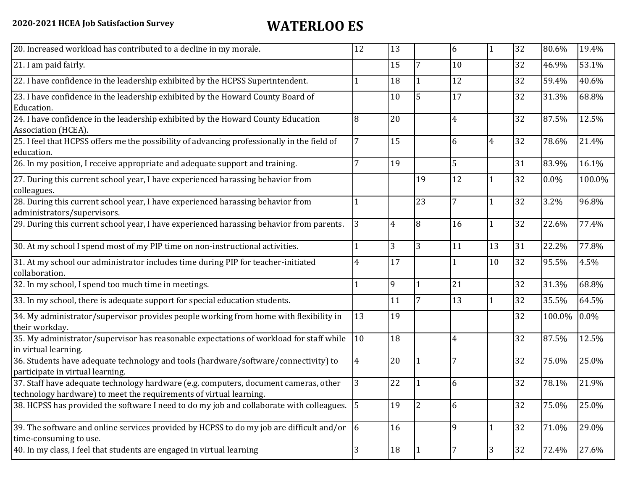| 20. Increased workload has contributed to a decline in my morale.                                                                                          | 12 | 13             |                | 6              | $\mathbf{1}$   | 32 | 80.6%   | 19.4%  |
|------------------------------------------------------------------------------------------------------------------------------------------------------------|----|----------------|----------------|----------------|----------------|----|---------|--------|
| 21. I am paid fairly.                                                                                                                                      |    | 15             |                | 10             |                | 32 | 46.9%   | 53.1%  |
| 22. I have confidence in the leadership exhibited by the HCPSS Superintendent.                                                                             |    | 18             |                | 12             |                | 32 | 59.4%   | 40.6%  |
| 23. I have confidence in the leadership exhibited by the Howard County Board of<br>Education.                                                              |    | 10             | 5              | 17             |                | 32 | 31.3%   | 68.8%  |
| 24. I have confidence in the leadership exhibited by the Howard County Education<br>Association (HCEA).                                                    | 8  | 20             |                | $\overline{4}$ |                | 32 | 87.5%   | 12.5%  |
| 25. I feel that HCPSS offers me the possibility of advancing professionally in the field of<br>education.                                                  | 7  | 15             |                | 6              | $\overline{4}$ | 32 | 78.6%   | 21.4%  |
| 26. In my position, I receive appropriate and adequate support and training.                                                                               |    | 19             |                | 5              |                | 31 | 83.9%   | 16.1%  |
| 27. During this current school year, I have experienced harassing behavior from<br>colleagues.                                                             |    |                | 19             | 12             |                | 32 | $0.0\%$ | 100.0% |
| 28. During this current school year, I have experienced harassing behavior from<br>administrators/supervisors.                                             |    |                | 23             | 7              |                | 32 | 3.2%    | 96.8%  |
| 29. During this current school year, I have experienced harassing behavior from parents.                                                                   | 3  | $\overline{4}$ | 8              | 16             | 1              | 32 | 22.6%   | 77.4%  |
| 30. At my school I spend most of my PIP time on non-instructional activities.                                                                              |    | 3              | 3              | 11             | 13             | 31 | 22.2%   | 77.8%  |
| 31. At my school our administrator includes time during PIP for teacher-initiated<br>collaboration.                                                        |    | 17             |                |                | 10             | 32 | 95.5%   | 4.5%   |
| 32. In my school, I spend too much time in meetings.                                                                                                       |    | 9              |                | 21             |                | 32 | 31.3%   | 68.8%  |
| 33. In my school, there is adequate support for special education students.                                                                                |    | 11             | 7              | 13             | $\mathbf{1}$   | 32 | 35.5%   | 64.5%  |
| 34. My administrator/supervisor provides people working from home with flexibility in<br>their workday.                                                    | 13 | 19             |                |                |                | 32 | 100.0%  | 0.0%   |
| 35. My administrator/supervisor has reasonable expectations of workload for staff while<br>in virtual learning.                                            | 10 | 18             |                | 4              |                | 32 | 87.5%   | 12.5%  |
| 36. Students have adequate technology and tools (hardware/software/connectivity) to<br>participate in virtual learning.                                    | 4  | 20             |                | 7              |                | 32 | 75.0%   | 25.0%  |
| 37. Staff have adequate technology hardware (e.g. computers, document cameras, other<br>technology hardware) to meet the requirements of virtual learning. | 3  | 22             |                | 6              |                | 32 | 78.1%   | 21.9%  |
| 38. HCPSS has provided the software I need to do my job and collaborate with colleagues.                                                                   | 15 | 19             | $\overline{2}$ | 6              |                | 32 | 75.0%   | 25.0%  |
| 39. The software and online services provided by HCPSS to do my job are difficult and/or $\vert 6 \vert$<br>time-consuming to use.                         |    | 16             |                | 9              | $\mathbf{1}$   | 32 | 71.0%   | 29.0%  |
| 40. In my class, I feel that students are engaged in virtual learning                                                                                      | 3  | 18             |                |                | 3              | 32 | 72.4%   | 27.6%  |
|                                                                                                                                                            |    |                |                |                |                |    |         |        |